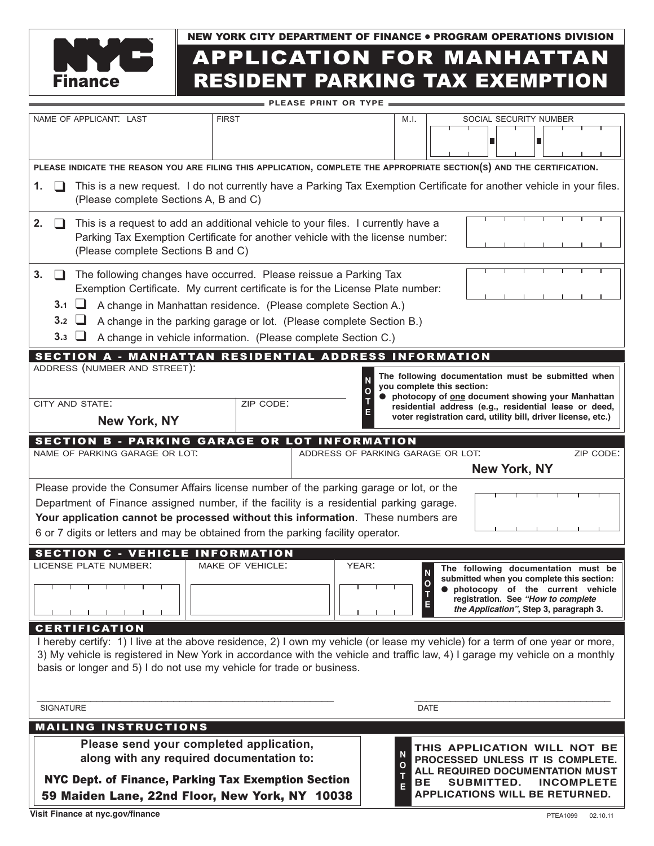

# APPLICATION FOR MANHATTAN Finance RESIDENT PARKING TAX EXEMPTION NEW YORK CITY DEPARTMENT OF FINANCE ● PROGRAM OPERATIONS DIVISION

| <b>PLEASE PRINT OR TYPE</b>                                                                                                                                                                                                                                                                                                                                   |                                                                                                                                                                                                                                                                                                                                                                                                    |                                                                        |              |             |                                                                                                                          |           |                                                                                                                                                                                                                                                               |  |
|---------------------------------------------------------------------------------------------------------------------------------------------------------------------------------------------------------------------------------------------------------------------------------------------------------------------------------------------------------------|----------------------------------------------------------------------------------------------------------------------------------------------------------------------------------------------------------------------------------------------------------------------------------------------------------------------------------------------------------------------------------------------------|------------------------------------------------------------------------|--------------|-------------|--------------------------------------------------------------------------------------------------------------------------|-----------|---------------------------------------------------------------------------------------------------------------------------------------------------------------------------------------------------------------------------------------------------------------|--|
| NAME OF APPLICANT: LAST                                                                                                                                                                                                                                                                                                                                       |                                                                                                                                                                                                                                                                                                                                                                                                    |                                                                        | <b>FIRST</b> |             | M.I.                                                                                                                     |           | SOCIAL SECURITY NUMBER                                                                                                                                                                                                                                        |  |
|                                                                                                                                                                                                                                                                                                                                                               |                                                                                                                                                                                                                                                                                                                                                                                                    |                                                                        |              |             |                                                                                                                          |           |                                                                                                                                                                                                                                                               |  |
|                                                                                                                                                                                                                                                                                                                                                               | PLEASE INDICATE THE REASON YOU ARE FILING THIS APPLICATION, COMPLETE THE APPROPRIATE SECTION(S) AND THE CERTIFICATION.                                                                                                                                                                                                                                                                             |                                                                        |              |             |                                                                                                                          |           |                                                                                                                                                                                                                                                               |  |
| 1.                                                                                                                                                                                                                                                                                                                                                            | This is a new request. I do not currently have a Parking Tax Exemption Certificate for another vehicle in your files.<br>(Please complete Sections A, B and C)                                                                                                                                                                                                                                     |                                                                        |              |             |                                                                                                                          |           |                                                                                                                                                                                                                                                               |  |
| 2.                                                                                                                                                                                                                                                                                                                                                            | This is a request to add an additional vehicle to your files. I currently have a<br>Parking Tax Exemption Certificate for another vehicle with the license number:<br>(Please complete Sections B and C)                                                                                                                                                                                           |                                                                        |              |             |                                                                                                                          |           |                                                                                                                                                                                                                                                               |  |
| 3.                                                                                                                                                                                                                                                                                                                                                            | The following changes have occurred. Please reissue a Parking Tax<br>Exemption Certificate. My current certificate is for the License Plate number:<br>3.1<br>$\sqcup$<br>A change in Manhattan residence. (Please complete Section A.)<br>3.2<br>ப<br>A change in the parking garage or lot. (Please complete Section B.)<br>3.3<br>A change in vehicle information. (Please complete Section C.) |                                                                        |              |             |                                                                                                                          |           |                                                                                                                                                                                                                                                               |  |
| SECTION A - MANHATTAN RESIDENTIAL ADDRESS INFORMATION                                                                                                                                                                                                                                                                                                         |                                                                                                                                                                                                                                                                                                                                                                                                    |                                                                        |              |             |                                                                                                                          |           |                                                                                                                                                                                                                                                               |  |
|                                                                                                                                                                                                                                                                                                                                                               |                                                                                                                                                                                                                                                                                                                                                                                                    | ADDRESS (NUMBER AND STREET):<br>CITY AND STATE:<br><b>New York, NY</b> | ZIP CODE:    |             |                                                                                                                          |           | The following documentation must be submitted when<br>you complete this section:<br>photocopy of one document showing your Manhattan<br>residential address (e.g., residential lease or deed,<br>voter registration card, utility bill, driver license, etc.) |  |
|                                                                                                                                                                                                                                                                                                                                                               |                                                                                                                                                                                                                                                                                                                                                                                                    |                                                                        |              |             |                                                                                                                          |           |                                                                                                                                                                                                                                                               |  |
| <b>SECTION B - PARKING GARAGE OR LOT INFORMATION</b><br>NAME OF PARKING GARAGE OR LOT.<br>ZIP CODE:<br>ADDRESS OF PARKING GARAGE OR LOT.                                                                                                                                                                                                                      |                                                                                                                                                                                                                                                                                                                                                                                                    |                                                                        |              |             |                                                                                                                          |           |                                                                                                                                                                                                                                                               |  |
| <b>New York, NY</b>                                                                                                                                                                                                                                                                                                                                           |                                                                                                                                                                                                                                                                                                                                                                                                    |                                                                        |              |             |                                                                                                                          |           |                                                                                                                                                                                                                                                               |  |
| Please provide the Consumer Affairs license number of the parking garage or lot, or the<br>Department of Finance assigned number, if the facility is a residential parking garage.<br>Your application cannot be processed without this information. These numbers are<br>6 or 7 digits or letters and may be obtained from the parking facility operator.    |                                                                                                                                                                                                                                                                                                                                                                                                    |                                                                        |              |             |                                                                                                                          |           |                                                                                                                                                                                                                                                               |  |
| <b>SECTION C - VEHICLE INFORMATION</b>                                                                                                                                                                                                                                                                                                                        |                                                                                                                                                                                                                                                                                                                                                                                                    |                                                                        |              |             |                                                                                                                          |           |                                                                                                                                                                                                                                                               |  |
| LICENSE PLATE NUMBER:<br>MAKE OF VEHICLE:<br>YEAR:<br>The following documentation must be<br>submitted when you complete this section:<br>Ο<br><b><math>\bullet</math></b> photocopy of the current vehicle<br>registration. See "How to complete<br>E<br>the Application", Step 3, paragraph 3.                                                              |                                                                                                                                                                                                                                                                                                                                                                                                    |                                                                        |              |             |                                                                                                                          |           |                                                                                                                                                                                                                                                               |  |
| <b>CERTIFICATION</b><br>I hereby certify: 1) I live at the above residence, 2) I own my vehicle (or lease my vehicle) for a term of one year or more,<br>3) My vehicle is registered in New York in accordance with the vehicle and traffic law, 4) I garage my vehicle on a monthly<br>basis or longer and 5) I do not use my vehicle for trade or business. |                                                                                                                                                                                                                                                                                                                                                                                                    |                                                                        |              |             |                                                                                                                          |           |                                                                                                                                                                                                                                                               |  |
|                                                                                                                                                                                                                                                                                                                                                               | SIGNATURE                                                                                                                                                                                                                                                                                                                                                                                          |                                                                        |              | <b>DATE</b> |                                                                                                                          |           |                                                                                                                                                                                                                                                               |  |
| <b>MAILING INSTRUCTIONS</b>                                                                                                                                                                                                                                                                                                                                   |                                                                                                                                                                                                                                                                                                                                                                                                    |                                                                        |              |             |                                                                                                                          |           |                                                                                                                                                                                                                                                               |  |
| Please send your completed application,<br>along with any required documentation to:                                                                                                                                                                                                                                                                          |                                                                                                                                                                                                                                                                                                                                                                                                    |                                                                        |              |             | THIS APPLICATION WILL NOT BE<br>N<br>PROCESSED UNLESS IT IS COMPLETE.<br>$\mathbf{o}$<br>ALL REQUIRED DOCUMENTATION MUST |           |                                                                                                                                                                                                                                                               |  |
|                                                                                                                                                                                                                                                                                                                                                               | NYC Dept. of Finance, Parking Tax Exemption Section<br>59 Maiden Lane, 22nd Floor, New York, NY 10038                                                                                                                                                                                                                                                                                              |                                                                        |              |             |                                                                                                                          | <b>BE</b> | <b>SUBMITTED.</b><br><b>INCOMPLETE</b><br><b>APPLICATIONS WILL BE RETURNED.</b>                                                                                                                                                                               |  |